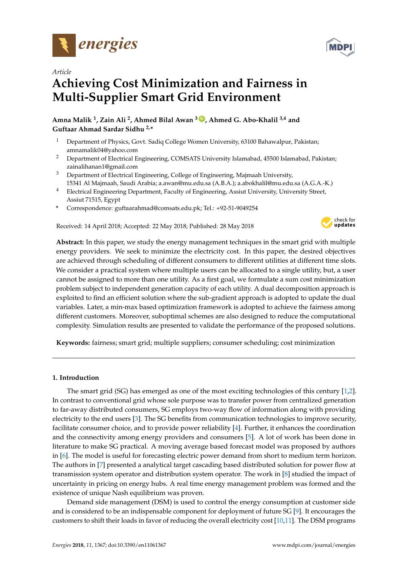



# *Article* **Achieving Cost Minimization and Fairness in Multi-Supplier Smart Grid Environment**

**Amna Malik <sup>1</sup> , Zain Ali <sup>2</sup> , Ahmed Bilal Awan <sup>3</sup> ID , Ahmed G. Abo-Khalil 3,4 and Guftaar Ahmad Sardar Sidhu 2,\***

- <sup>1</sup> Department of Physics, Govt. Sadiq College Women University, 63100 Bahawalpur, Pakistan; amnamalik04@yahoo.com
- <sup>2</sup> Department of Electrical Engineering, COMSATS University Islamabad, 45500 Islamabad, Pakistan; zainalihanan1@gmail.com
- $3$  Department of Electrical Engineering, College of Engineering, Majmaah University, 15341 Al Majmaah, Saudi Arabia; a.awan@mu.edu.sa (A.B.A.); a.abokhalil@mu.edu.sa (A.G.A.-K.)
- <sup>4</sup> Electrical Engineering Department, Faculty of Engineering, Assiut University, University Street, Assiut 71515, Egypt
- **\*** Correspondence: guftaarahmad@comsats.edu.pk; Tel.: +92-51-9049254

Received: 14 April 2018; Accepted: 22 May 2018; Published: 28 May 2018



**Abstract:** In this paper, we study the energy management techniques in the smart grid with multiple energy providers. We seek to minimize the electricity cost. In this paper, the desired objectives are achieved through scheduling of different consumers to different utilities at different time slots. We consider a practical system where multiple users can be allocated to a single utility, but, a user cannot be assigned to more than one utility. As a first goal, we formulate a sum cost minimization problem subject to independent generation capacity of each utility. A dual decomposition approach is exploited to find an efficient solution where the sub-gradient approach is adopted to update the dual variables. Later, a min-max based optimization framework is adopted to achieve the fairness among different customers. Moreover, suboptimal schemes are also designed to reduce the computational complexity. Simulation results are presented to validate the performance of the proposed solutions.

**Keywords:** fairness; smart grid; multiple suppliers; consumer scheduling; cost minimization

# **1. Introduction**

The smart grid (SG) has emerged as one of the most exciting technologies of this century [1,2]. In contrast to conventional grid whose sole purpose was to transfer power from centralized generation to far-away distributed consumers, SG employs two-way flow of information along with providing electricity to the end users [3]. The SG benefits from communication technologies to improve security, facilitate consumer choice, and to provide power reliability [4]. Further, it enhances the coordination and the connectivity among energy providers and consumers [5]. A lot of work has been done in literature to make SG practical. A moving average based forecast model was proposed by authors in [6]. The model is useful for forecasting electric power demand from short to medium term horizon. The authors in [7] presented a analytical target cascading based distributed solution for power flow at transmission system operator and distribution system operator. The work in [8] studied the impact of uncertainty in pricing on energy hubs. A real time energy management problem was formed and the existence of unique Nash equilibrium was proven.

Demand side management (DSM) is used to control the energy consumption at customer side and is considered to be an indispensable component for deployment of future SG [9]. It encourages the customers to shift their loads in favor of reducing the overall electricity cost [10,11]. The DSM programs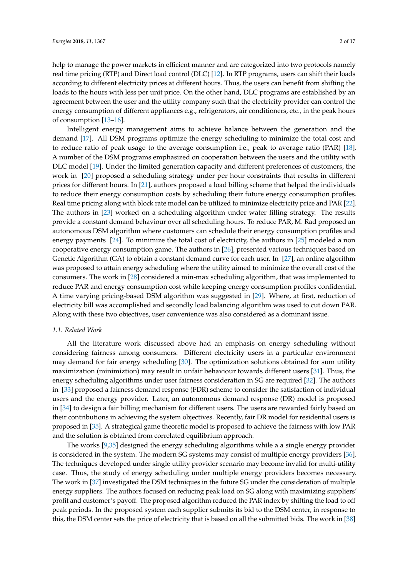help to manage the power markets in efficient manner and are categorized into two protocols namely real time pricing (RTP) and Direct load control (DLC) [12]. In RTP programs, users can shift their loads according to different electricity prices at different hours. Thus, the users can benefit from shifting the loads to the hours with less per unit price. On the other hand, DLC programs are established by an agreement between the user and the utility company such that the electricity provider can control the energy consumption of different appliances e.g., refrigerators, air conditioners, etc., in the peak hours of consumption [13–16].

Intelligent energy management aims to achieve balance between the generation and the demand [17]. All DSM programs optimize the energy scheduling to minimize the total cost and to reduce ratio of peak usage to the average consumption i.e., peak to average ratio (PAR) [18]. A number of the DSM programs emphasized on cooperation between the users and the utility with DLC model [19]. Under the limited generation capacity and different preferences of customers, the work in [20] proposed a scheduling strategy under per hour constraints that results in different prices for different hours. In [21], authors proposed a load billing scheme that helped the individuals to reduce their energy consumption costs by scheduling their future energy consumption profiles. Real time pricing along with block rate model can be utilized to minimize electricity price and PAR [22]. The authors in [23] worked on a scheduling algorithm under water filling strategy. The results provide a constant demand behaviour over all scheduling hours. To reduce PAR, M. Rad proposed an autonomous DSM algorithm where customers can schedule their energy consumption profiles and energy payments [24]. To minimize the total cost of electricity, the authors in [25] modeled a non cooperative energy consumption game. The authors in [26], presented various techniques based on Genetic Algorithm (GA) to obtain a constant demand curve for each user. In [27], an online algorithm was proposed to attain energy scheduling where the utility aimed to minimize the overall cost of the consumers. The work in [28] considered a min-max scheduling algorithm, that was implemented to reduce PAR and energy consumption cost while keeping energy consumption profiles confidential. A time varying pricing-based DSM algorithm was suggested in [29]. Where, at first, reduction of electricity bill was accomplished and secondly load balancing algorithm was used to cut down PAR. Along with these two objectives, user convenience was also considered as a dominant issue.

#### *1.1. Related Work*

All the literature work discussed above had an emphasis on energy scheduling without considering fairness among consumers. Different electricity users in a particular environment may demand for fair energy scheduling [30]. The optimization solutions obtained for sum utility maximization (minimiztion) may result in unfair behaviour towards different users [31]. Thus, the energy scheduling algorithms under user fairness consideration in SG are required [32]. The authors in [33] proposed a fairness demand response (FDR) scheme to consider the satisfaction of individual users and the energy provider. Later, an autonomous demand response (DR) model is proposed in [34] to design a fair billing mechanism for different users. The users are rewarded fairly based on their contributions in achieving the system objectives. Recently, fair DR model for residential users is proposed in [35]. A strategical game theoretic model is proposed to achieve the fairness with low PAR and the solution is obtained from correlated equilibrium approach.

The works [9,35] designed the energy scheduling algorithms while a a single energy provider is considered in the system. The modern SG systems may consist of multiple energy providers [36]. The techniques developed under single utility provider scenario may become invalid for multi-utility case. Thus, the study of energy scheduling under multiple energy providers becomes necessary. The work in [37] investigated the DSM techniques in the future SG under the consideration of multiple energy suppliers. The authors focused on reducing peak load on SG along with maximizing suppliers' profit and customer's payoff. The proposed algorithm reduced the PAR index by shifting the load to off peak periods. In the proposed system each supplier submits its bid to the DSM center, in response to this, the DSM center sets the price of electricity that is based on all the submitted bids. The work in [38]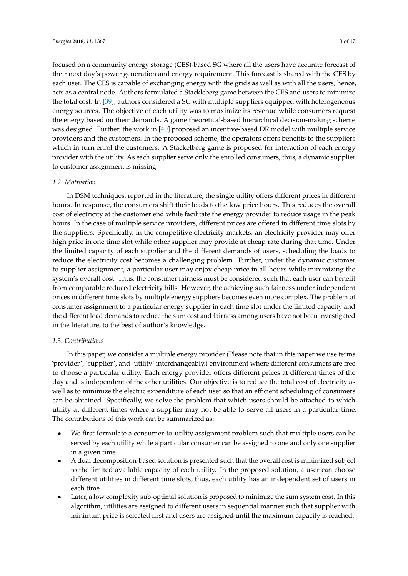focused on a community energy storage (CES)-based SG where all the users have accurate forecast of their next day's power generation and energy requirement. This forecast is shared with the CES by each user. The CES is capable of exchanging energy with the grids as well as with all the users, hence, acts as a central node. Authors formulated a Stackleberg game between the CES and users to minimize the total cost. In [39], authors considered a SG with multiple suppliers equipped with heterogeneous energy sources. The objective of each utility was to maximize its revenue while consumers request the energy based on their demands. A game theoretical-based hierarchical decision-making scheme was designed. Further, the work in [40] proposed an incentive-based DR model with multiple service providers and the customers. In the proposed scheme, the operators offers benefits to the suppliers which in turn enrol the customers. A Stackelberg game is proposed for interaction of each energy provider with the utility. As each supplier serve only the enrolled consumers, thus, a dynamic supplier to customer assignment is missing.

#### *1.2. Motivation*

In DSM techniques, reported in the literature, the single utility offers different prices in different hours. In response, the consumers shift their loads to the low price hours. This reduces the overall cost of electricity at the customer end while facilitate the energy provider to reduce usage in the peak hours. In the case of multiple service providers, different prices are offered in different time slots by the suppliers. Specifically, in the competitive electricity markets, an electricity provider may offer high price in one time slot while other supplier may provide at cheap rate during that time. Under the limited capacity of each supplier and the different demands of users, scheduling the loads to reduce the electricity cost becomes a challenging problem. Further, under the dynamic customer to supplier assignment, a particular user may enjoy cheap price in all hours while minimizing the system's overall cost. Thus, the consumer fairness must be considered such that each user can benefit from comparable reduced electricity bills. However, the achieving such fairness under independent prices in different time slots by multiple energy suppliers becomes even more complex. The problem of consumer assignment to a particular energy supplier in each time slot under the limited capacity and the different load demands to reduce the sum cost and fairness among users have not been investigated in the literature, to the best of author's knowledge.

### *1.3. Contributions*

In this paper, we consider a multiple energy provider (Please note that in this paper we use terms 'provider', 'supplier', and 'utility' interchangeably.) environment where different consumers are free to choose a particular utility. Each energy provider offers different prices at different times of the day and is independent of the other utilities. Our objective is to reduce the total cost of electricity as well as to minimize the electric expenditure of each user so that an efficient scheduling of consumers can be obtained. Specifically, we solve the problem that which users should be attached to which utility at different times where a supplier may not be able to serve all users in a particular time. The contributions of this work can be summarized as:

- We first formulate a consumer-to-utility assignment problem such that multiple users can be served by each utility while a particular consumer can be assigned to one and only one supplier in a given time.
- A dual decomposition-based solution is presented such that the overall cost is minimized subject to the limited available capacity of each utility. In the proposed solution, a user can choose different utilities in different time slots, thus, each utility has an independent set of users in each time.
- Later, a low complexity sub-optimal solution is proposed to minimize the sum system cost. In this algorithm, utilities are assigned to different users in sequential manner such that supplier with minimum price is selected first and users are assigned until the maximum capacity is reached.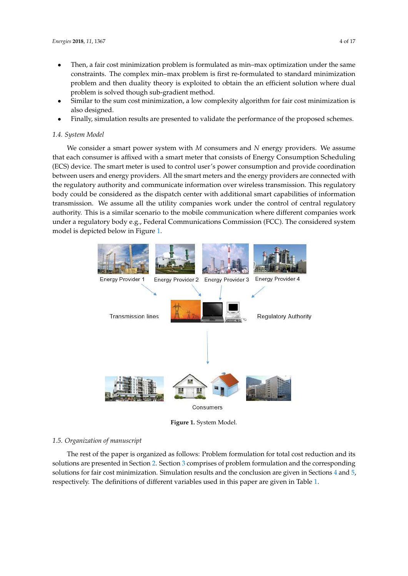- Then, a fair cost minimization problem is formulated as min–max optimization under the same constraints. The complex min–max problem is first re-formulated to standard minimization problem and then duality theory is exploited to obtain the an efficient solution where dual problem is solved though sub-gradient method.
- Similar to the sum cost minimization, a low complexity algorithm for fair cost minimization is also designed.
- Finally, simulation results are presented to validate the performance of the proposed schemes.

#### *1.4. System Model*

We consider a smart power system with *M* consumers and *N* energy providers. We assume that each consumer is affixed with a smart meter that consists of Energy Consumption Scheduling (ECS) device. The smart meter is used to control user's power consumption and provide coordination between users and energy providers. All the smart meters and the energy providers are connected with the regulatory authority and communicate information over wireless transmission. This regulatory body could be considered as the dispatch center with additional smart capabilities of information transmission. We assume all the utility companies work under the control of central regulatory authority. This is a similar scenario to the mobile communication where different companies work under a regulatory body e.g., Federal Communications Commission (FCC). The considered system model is depicted below in Figure 1.



**Figure 1.** System Model.

#### *1.5. Organization of manuscript*

The rest of the paper is organized as follows: Problem formulation for total cost reduction and its solutions are presented in Section 2. Section 3 comprises of problem formulation and the corresponding solutions for fair cost minimization. Simulation results and the conclusion are given in Sections 4 and 5, respectively. The definitions of different variables used in this paper are given in Table 1.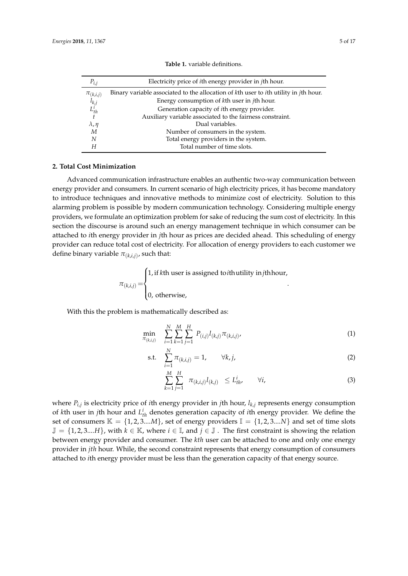| $P_{i,j}$                                                          | Electricity price of <i>i</i> th energy provider in <i>j</i> th hour.                                |
|--------------------------------------------------------------------|------------------------------------------------------------------------------------------------------|
|                                                                    | Binary variable associated to the allocation of kth user to <i>i</i> th utility in <i>j</i> th hour. |
| $\begin{matrix} \pi_{(k,i,j)} \\ l_{k,j} \\ L_{th}^i \end{matrix}$ | Energy consumption of kth user in <i>j</i> th hour.                                                  |
|                                                                    | Generation capacity of <i>i</i> th energy provider.                                                  |
| $\ddot{t}$                                                         | Auxiliary variable associated to the fairness constraint.                                            |
| $\lambda$ , $\eta$                                                 | Dual variables.                                                                                      |
| M                                                                  | Number of consumers in the system.                                                                   |
| N                                                                  | Total energy providers in the system.                                                                |
| Н                                                                  | Total number of time slots.                                                                          |
|                                                                    |                                                                                                      |

**Table 1.** variable definitions.

### **2. Total Cost Minimization**

Advanced communication infrastructure enables an authentic two-way communication between energy provider and consumers. In current scenario of high electricity prices, it has become mandatory to introduce techniques and innovative methods to minimize cost of electricity. Solution to this alarming problem is possible by modern communication technology. Considering multiple energy providers, we formulate an optimization problem for sake of reducing the sum cost of electricity. In this section the discourse is around such an energy management technique in which consumer can be attached to *i*th energy provider in *j*th hour as prices are decided ahead. This scheduling of energy provider can reduce total cost of electricity. For allocation of energy providers to each customer we define binary variable  $\pi_{(k,i,j)}$ , such that:

> $\pi_{(k,i,j)} =$  $\sqrt{ }$  $\int$  $\mathbf{r}$ 1, if *k*th user is assigned to*i*thutility in*j*thhour, 0, otherwise, .

With this the problem is mathematically described as:

$$
\min_{\pi_{(k,i,j)}} \sum_{i=1}^{N} \sum_{k=1}^{M} \sum_{j=1}^{H} P_{(i,j)} l_{(k,j)} \pi_{(k,i,j)}, \tag{1}
$$

s.t. 
$$
\sum_{i=1}^{N} \pi_{(k,i,j)} = 1, \qquad \forall k, j,
$$
 (2)

$$
\sum_{k=1}^{M} \sum_{j=1}^{H} \pi_{(k,i,j)} l_{(k,j)} \leq L_{th}^{i}, \qquad \forall i,
$$
\n(3)

where *Pi*,*<sup>j</sup>* is electricity price of *i*th energy provider in *j*th hour, *lk*,*<sup>j</sup>* represents energy consumption of *k*th user in *j*th hour and *L i th* denotes generation capacity of *i*th energy provider. We define the set of consumers  $\mathbb{K} = \{1, 2, 3...M\}$ , set of energy providers  $\mathbb{I} = \{1, 2, 3...N\}$  and set of time slots  $\mathbb{J} = \{1, 2, 3, \ldots, H\}$ , with  $k \in \mathbb{K}$ , where  $i \in \mathbb{J}$ , and  $j \in \mathbb{J}$ . The first constraint is showing the relation between energy provider and consumer. The *kth* user can be attached to one and only one energy provider in *jth* hour. While, the second constraint represents that energy consumption of consumers attached to *i*th energy provider must be less than the generation capacity of that energy source.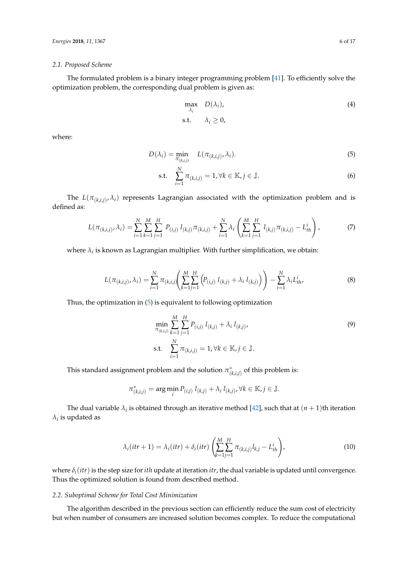#### *2.1. Proposed Scheme*

The formulated problem is a binary integer programming problem [41]. To efficiently solve the optimization problem, the corresponding dual problem is given as:

$$
\max_{\lambda_i} D(\lambda_i),
$$
\ns.t.  $\lambda_i \geq 0,$ \n
$$
(4)
$$

where:

$$
D(\lambda_i) = \min_{\pi_{(k,i,j)}} L(\pi_{(k,i,j)}, \lambda_i). \tag{5}
$$

$$
\text{s.t.} \quad \sum_{i=1}^{N} \pi_{(k,i,j)} = 1, \forall k \in \mathbb{K}, j \in \mathbb{J}. \tag{6}
$$

The  $L(\pi_{(k,i,j)},\lambda_i)$  represents Lagrangian associated with the optimization problem and is defined as:

$$
L(\pi_{(k,i,j)}, \lambda_i) = \sum_{i=1}^{N} \sum_{k=1}^{M} \sum_{j=1}^{H} P_{(i,j)} l_{(k,j)} \pi_{(k,i,j)} + \sum_{i=1}^{N} \lambda_i \left( \sum_{k=1}^{M} \sum_{j=1}^{H} l_{(k,j)} \pi_{(k,i,j)} - L_{th}^{i} \right),
$$
(7)

where  $\lambda_i$  is known as Lagrangian multiplier. With further simplification, we obtain:

$$
L(\pi_{(k,i,j)}, \lambda_i) = \sum_{i=1}^{N} \pi_{(k,i,j)} \left( \sum_{k=1}^{M} \sum_{j=1}^{H} \left( P_{(i,j)} l_{(k,j)} + \lambda_i l_{(k,j)} \right) \right) - \sum_{i=1}^{N} \lambda_i L_{th}^i,
$$
\n(8)

Thus, the optimization in (5) is equivalent to following optimization

$$
\min_{\pi_{(k,i,j)}} \sum_{k=1}^{M} \sum_{j=1}^{H} P_{(i,j)} l_{(k,j)} + \lambda_i l_{(k,j)},
$$
\ns.t. 
$$
\sum_{i=1}^{N} \pi_{(k,i,j)} = 1, \forall k \in \mathbb{K}, j \in \mathbb{J}.
$$
\n(9)

This standard assignment problem and the solution  $\pi^*_{(k,i,j)}$  of this problem is:

$$
\pi_{(k,i,j)}^* = \arg\min_i P_{(i,j)} l_{(k,j)} + \lambda_i l_{(k,j)}, \forall k \in \mathbb{K}, j \in \mathbb{J}.
$$

The dual variable  $\lambda_i$  is obtained through an iterative method [42], such that at  $(n+1)$ th iteration  $\lambda_i$  is updated as

$$
\lambda_i(itr+1) = \lambda_i(itr) + \delta_i(itr) \left( \sum_{k=1}^{M} \sum_{j=1}^{H} \pi_{(k,i,j)} l_{k,j} - L_{th}^i \right),\tag{10}
$$

where  $\delta_i(itr)$  is the step size for *ith* update at iteration *itr*, the dual variable is updated until convergence. Thus the optimized solution is found from described method.

# *2.2. Suboptimal Scheme for Total Cost Minimization*

The algorithm described in the previous section can efficiently reduce the sum cost of electricity but when number of consumers are increased solution becomes complex. To reduce the computational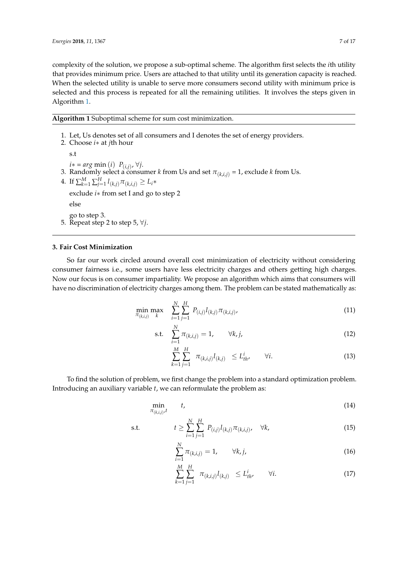complexity of the solution, we propose a sub-optimal scheme. The algorithm first selects the *i*th utility that provides minimum price. Users are attached to that utility until its generation capacity is reached. When the selected utility is unable to serve more consumers second utility with minimum price is selected and this process is repeated for all the remaining utilities. It involves the steps given in Algorithm 1.

**Algorithm 1** Suboptimal scheme for sum cost minimization.

1. Let, Us denotes set of all consumers and I denotes the set of energy providers.

2. Choose *i*∗ at *j*th hour s.t *i*∗ = *arg* min (*i*) *P*(*i*,*j*) , ∀*j*. 3. Randomly select a consumer  $k$  from Us and set  $\pi_{(k,i,j)}$  = 1, exclude  $k$  from Us. 4. If  $\sum_{k=1}^{M} \sum_{j=1}^{H} l_{(k,j)} \pi_{(k,i,j)} \ge L_i*$ exclude *i*∗ from set I and go to step 2 else go to step 3. 5. Repeat step 2 to step 5, ∀*j*.

# **3. Fair Cost Minimization**

So far our work circled around overall cost minimization of electricity without considering consumer fairness i.e., some users have less electricity charges and others getting high charges. Now our focus is on consumer impartiality. We propose an algorithm which aims that consumers will have no discrimination of electricity charges among them. The problem can be stated mathematically as:

$$
\min_{\pi_{(k,i,j)}} \max_{k} \quad \sum_{i=1}^{N} \sum_{j=1}^{H} P_{(i,j)} l_{(k,j)} \pi_{(k,i,j)} \tag{11}
$$

s.t. 
$$
\sum_{i=1}^{N} \pi_{(k,i,j)} = 1, \qquad \forall k, j,
$$
 (12)

$$
\sum_{k=1}^{M} \sum_{j=1}^{H} \pi_{(k,i,j)} l_{(k,j)} \leq L_{th}^{i}, \qquad \forall i.
$$
 (13)

To find the solution of problem, we first change the problem into a standard optimization problem. Introducing an auxiliary variable *t*, we can reformulate the problem as:

$$
\min_{\pi_{(k,i,j)},t} \qquad t,\tag{14}
$$

s.t. 
$$
t \ge \sum_{i=1}^{N} \sum_{j=1}^{H} P_{(i,j)} l_{(k,j)} \pi_{(k,i,j)}, \quad \forall k,
$$
 (15)

$$
\sum_{i=1}^{N} \pi_{(k,i,j)} = 1, \qquad \forall k, j,
$$
\n(16)

$$
\sum_{k=1}^{M} \sum_{j=1}^{H} \pi_{(k,i,j)} l_{(k,j)} \leq L_{th}^{i}, \qquad \forall i.
$$
 (17)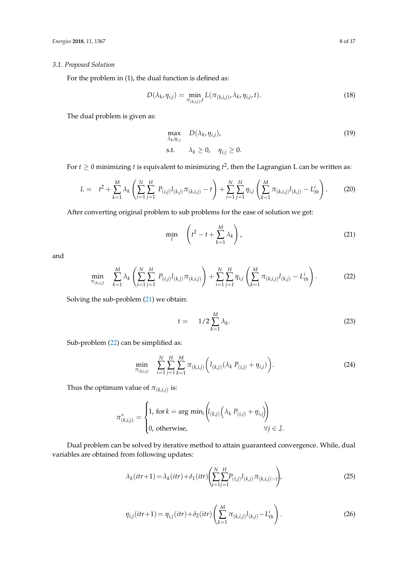# *3.1. Proposed Solution*

For the problem in (1), the dual function is defined as:

$$
D(\lambda_k, \eta_{i,j}) = \min_{\pi_{(k,i,j)},t} L(\pi_{(k,i,j)}, \lambda_k, \eta_{i,j}, t).
$$
 (18)

The dual problem is given as:

$$
\max_{\lambda_k, \eta_{i,j}} D(\lambda_k, \eta_{i,j}),
$$
  
s.t.  $\lambda_k \ge 0, \quad \eta_{i,j} \ge 0.$  (19)

For  $t \geq 0$  minimizing  $t$  is equivalent to minimizing  $t^2$ , then the Lagrangian L can be written as:

$$
L = t^2 + \sum_{k=1}^{M} \lambda_k \left( \sum_{i=1}^{N} \sum_{j=1}^{H} P_{(i,j)} l_{(k,j)} \pi_{(k,i,j)} - t \right) + \sum_{i=1}^{N} \sum_{j=1}^{H} \eta_{i,j} \left( \sum_{k=1}^{M} \pi_{(k,i,j)} l_{(k,j)} - L_{th}^{i} \right).
$$
 (20)

After converting original problem to sub problems for the ease of solution we get:

$$
\min_{t} \quad \left( t^2 - t + \sum_{k=1}^{M} \lambda_k \right), \tag{21}
$$

and

$$
\min_{\pi_{(k,i,j)}} \sum_{k=1}^{M} \lambda_k \left( \sum_{i=1}^{N} \sum_{j=1}^{H} P_{(i,j)} l_{(k,j)} \pi_{(k,i,j)} \right) + \sum_{i=1}^{N} \sum_{j=1}^{H} \eta_{i,j} \left( \sum_{k=1}^{M} \pi_{(k,i,j)} l_{(k,j)} - L_{th}^{i} \right).
$$
 (22)

Solving the sub-problem (21) we obtain:

$$
t = 1/2 \sum_{k=1}^{M} \lambda_k. \tag{23}
$$

Sub-problem (22) can be simplified as:

$$
\min_{\pi_{(k,i,j)}} \sum_{i=1}^{N} \sum_{j=1}^{H} \sum_{k=1}^{M} \pi_{(k,i,j)} \left( l_{(k,j)} (\lambda_k P_{(i,j)} + \eta_{i,j}) \right).
$$
 (24)

Thus the optimum value of  $\pi_{(k,i,j)}$  is:

$$
\pi_{(k,i,j)}^* = \begin{cases} 1, \text{ for } k = \arg \min_i \left( l_{(k,j)} \left( \lambda_k \ P_{(i,j)} + \eta_{i,j} \right) \right) \\ 0, \text{ otherwise,} \qquad \forall j \in \mathbb{J}. \end{cases}
$$

Dual problem can be solved by iterative method to attain guaranteed convergence. While, dual variables are obtained from following updates:

$$
\lambda_k(itr+1) = \lambda_k(itr) + \delta_1(itr) \left( \sum_{i=1}^{N} \sum_{j=1}^{H} P_{(i,j)} l_{(k,j)} \pi_{(k,i,j)-t} \right),\tag{25}
$$

$$
\eta_{i,j}(itr+1) = \eta_{i,j}(itr) + \delta_2(itr) \left( \sum_{k=1}^{M} \pi_{(k,i,j)} l_{(k,j)} - L_{th}^{i} \right).
$$
 (26)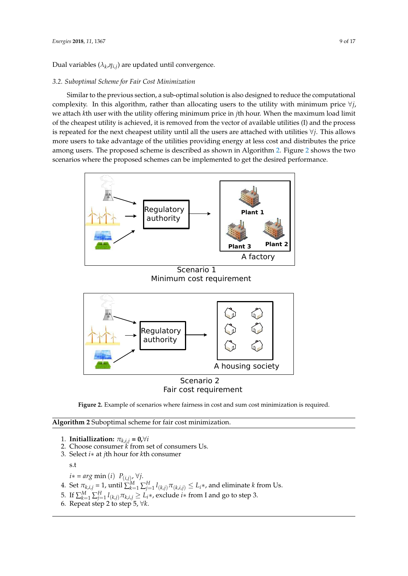Dual variables ( $\lambda_k$ , $\eta_{i,j}$ ) are updated until convergence.

# *3.2. Suboptimal Scheme for Fair Cost Minimization*

Similar to the previous section, a sub-optimal solution is also designed to reduce the computational complexity. In this algorithm, rather than allocating users to the utility with minimum price ∀*j*, we attach *k*th user with the utility offering minimum price in *j*th hour. When the maximum load limit of the cheapest utility is achieved, it is removed from the vector of available utilities (I) and the process is repeated for the next cheapest utility until all the users are attached with utilities ∀*j*. This allows more users to take advantage of the utilities providing energy at less cost and distributes the price among users. The proposed scheme is described as shown in Algorithm 2. Figure 2 shows the two scenarios where the proposed schemes can be implemented to get the desired performance.



Scenario 1 Minimum cost requirement



# Fair cost requirement

**Figure 2.** Example of scenarios where fairness in cost and sum cost minimization is required.

**Algorithm 2** Suboptimal scheme for fair cost minimization.

1. **Initiallization:**  $\pi_{k,i,j} = \mathbf{0}, \forall i$ 

- 2. Choose consumer *k* from set of consumers Us.
- 3. Select *i*∗ at *j*th hour for *k*th consumer

s.t

- *i*∗ = *arg* min (*i*) *P*(*i*,*j*) , ∀*j*.
- 4. Set  $\pi_{k,i,j} = 1$ , until  $\sum_{k=1}^{M} \sum_{j=1}^{H} l_{(k,j)} \pi_{(k,i,j)} \leq L_i *$ , and eliminate *k* from Us.
- 5. If  $\sum_{k=1}^M\sum_{j=1}^H l_{(k,j)}\pi_{k,i,j} \geq L_i*$ , exclude  $i*$  from I and go to step 3.
- 6. Repeat step 2 to step 5, ∀*k*.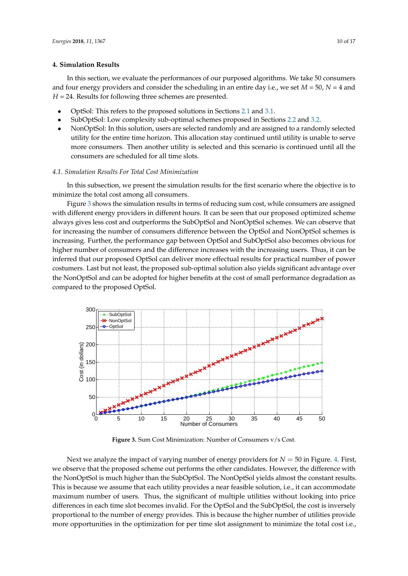### **4. Simulation Results**

In this section, we evaluate the performances of our purposed algorithms. We take 50 consumers and four energy providers and consider the scheduling in an entire day i.e., we set *M* = 50, *N* = 4 and *H* = 24. Results for following three schemes are presented.

- OptSol: This refers to the proposed solutions in Sections 2.1 and 3.1.
- SubOptSol: Low complexity sub-optimal schemes proposed in Sections 2.2 and 3.2.
- NonOptSol: In this solution, users are selected randomly and are assigned to a randomly selected utility for the entire time horizon. This allocation stay continued until utility is unable to serve more consumers. Then another utility is selected and this scenario is continued until all the consumers are scheduled for all time slots.

# *4.1. Simulation Results For Total Cost Minimization*

In this subsection, we present the simulation results for the first scenario where the objective is to minimize the total cost among all consumers.

Figure 3 shows the simulation results in terms of reducing sum cost, while consumers are assigned with different energy providers in different hours. It can be seen that our proposed optimized scheme always gives less cost and outperforms the SubOptSol and NonOptSol schemes. We can observe that for increasing the number of consumers difference between the OptSol and NonOptSol schemes is increasing. Further, the performance gap between OptSol and SubOptSol also becomes obvious for higher number of consumers and the difference increases with the increasing users. Thus, it can be inferred that our proposed OptSol can deliver more effectual results for practical number of power costumers. Last but not least, the proposed sub-optimal solution also yields significant advantage over the NonOptSol and can be adopted for higher benefits at the cost of small performance degradation as compared to the proposed OptSol.



**Figure 3.** Sum Cost Minimization: Number of Consumers v/s Cost.

Next we analyze the impact of varying number of energy providers for *N* = 50 in Figure. 4. First, we observe that the proposed scheme out performs the other candidates. However, the difference with the NonOptSol is much higher than the SubOptSol. The NonOptSol yields almost the constant results. This is because we assume that each utility provides a near feasible solution, i.e., it can accommodate maximum number of users. Thus, the significant of multiple utilities without looking into price differences in each time slot becomes invalid. For the OptSol and the SubOptSol, the cost is inversely proportional to the number of energy provides. This is because the higher number of utilities provide more opportunities in the optimization for per time slot assignment to minimize the total cost i.e.,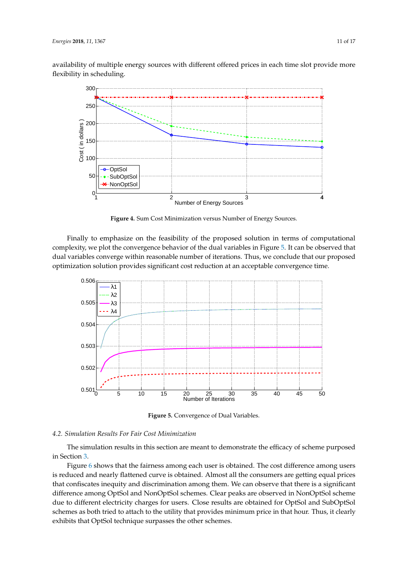availability of multiple energy sources with different offered prices in each time slot provide more flexibility in scheduling.



**Figure 4.** Sum Cost Minimization versus Number of Energy Sources.

Finally to emphasize on the feasibility of the proposed solution in terms of computational complexity, we plot the convergence behavior of the dual variables in Figure 5. It can be observed that dual variables converge within reasonable number of iterations. Thus, we conclude that our proposed optimization solution provides significant cost reduction at an acceptable convergence time.



**Figure 5.** Convergence of Dual Variables.

#### *4.2. Simulation Results For Fair Cost Minimization*

The simulation results in this section are meant to demonstrate the efficacy of scheme purposed in Section 3.

Figure 6 shows that the fairness among each user is obtained. The cost difference among users is reduced and nearly flattened curve is obtained. Almost all the consumers are getting equal prices that confiscates inequity and discrimination among them. We can observe that there is a significant difference among OptSol and NonOptSol schemes. Clear peaks are observed in NonOptSol scheme due to different electricity charges for users. Close results are obtained for OptSol and SubOptSol schemes as both tried to attach to the utility that provides minimum price in that hour. Thus, it clearly exhibits that OptSol technique surpasses the other schemes.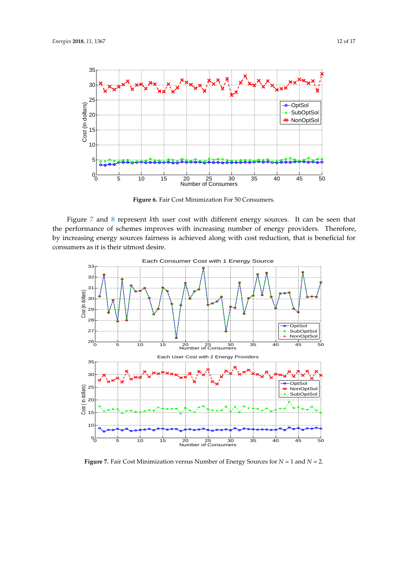

**Figure 6.** Fair Cost Minimization For 50 Consumers.

Figure 7 and 8 represent *k*th user cost with different energy sources. It can be seen that the performance of schemes improves with increasing number of energy providers. Therefore, by increasing energy sources fairness is achieved along with cost reduction, that is beneficial for consumers as it is their utmost desire.



**Figure 7.** Fair Cost Minimization versus Number of Energy Sources for *N* = 1 and *N* = 2.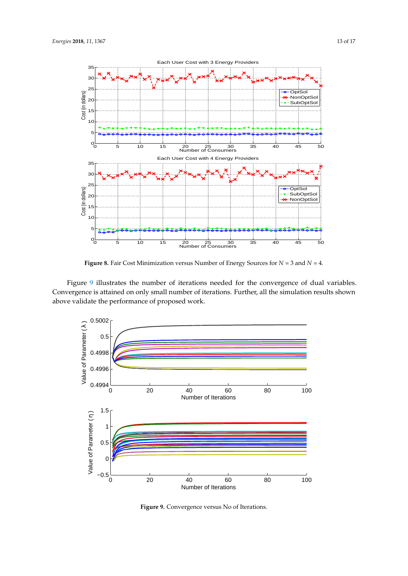

**Figure 8.** Fair Cost Minimization versus Number of Energy Sources for *N* = 3 and *N* = 4.

Figure 9 illustrates the number of iterations needed for the convergence of dual variables. Convergence is attained on only small number of iterations. Further, all the simulation results shown above validate the performance of proposed work.



**Figure 9.** Convergence versus No of Iterations.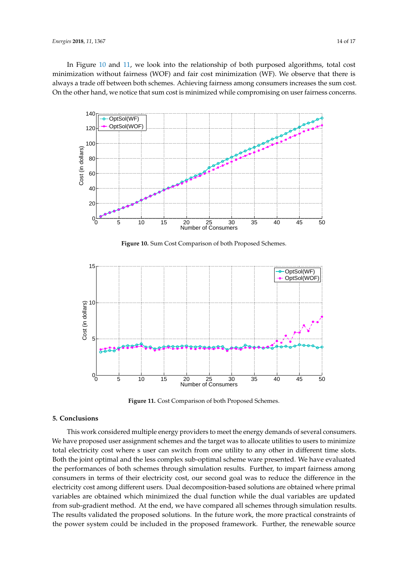In Figure 10 and 11, we look into the relationship of both purposed algorithms, total cost minimization without fairness (WOF) and fair cost minimization (WF). We observe that there is always a trade off between both schemes. Achieving fairness among consumers increases the sum cost. On the other hand, we notice that sum cost is minimized while compromising on user fairness concerns.



**Figure 10.** Sum Cost Comparison of both Proposed Schemes.



**Figure 11.** Cost Comparison of both Proposed Schemes.

# **5. Conclusions**

This work considered multiple energy providers to meet the energy demands of several consumers. We have proposed user assignment schemes and the target was to allocate utilities to users to minimize total electricity cost where s user can switch from one utility to any other in different time slots. Both the joint optimal and the less complex sub-optimal scheme ware presented. We have evaluated the performances of both schemes through simulation results. Further, to impart fairness among consumers in terms of their electricity cost, our second goal was to reduce the difference in the electricity cost among different users. Dual decomposition-based solutions are obtained where primal variables are obtained which minimized the dual function while the dual variables are updated from sub-gradient method. At the end, we have compared all schemes through simulation results. The results validated the proposed solutions. In the future work, the more practical constraints of the power system could be included in the proposed framework. Further, the renewable source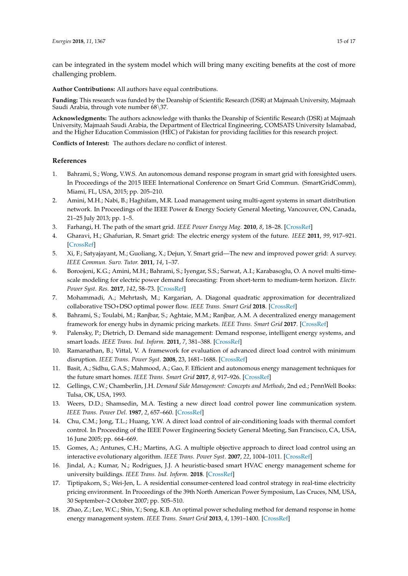can be integrated in the system model which will bring many exciting benefits at the cost of more challenging problem.

**Author Contributions:** All authors have equal contributions.

**Funding:** This research was funded by the Deanship of Scientific Research (DSR) at Majmaah University, Majmaah Saudi Arabia, through vote number 68\37.

**Acknowledgments:** The authors acknowledge with thanks the Deanship of Scientific Research (DSR) at Majmaah University, Majmaah Saudi Arabia, the Department of Electrical Engineering, COMSATS University Islamabad, and the Higher Education Commission (HEC) of Pakistan for providing facilities for this research project.

**Conflicts of Interest:** The authors declare no conflict of interest.

# **References**

- 1. Bahrami, S.; Wong, V.W.S. An autonomous demand response program in smart grid with foresighted users. In Proceedings of the 2015 IEEE International Conference on Smart Grid Commun. (SmartGridComm), Miami, FL, USA, 2015; pp. 205–210.
- 2. Amini, M.H.; Nabi, B.; Haghifam, M.R. Load management using multi-agent systems in smart distribution network. In Proceedings of the IEEE Power & Energy Society General Meeting, Vancouver, ON, Canada, 21–25 July 2013; pp. 1–5.
- 3. Farhangi, H. The path of the smart grid. *IEEE Power Energy Mag.* **2010**, *8*, 18–28. [CrossRef]
- 4. Gharavi, H.; Ghafurian, R. Smart grid: The electric energy system of the future. *IEEE* **2011**, *99*, 917–921. [CrossRef]
- 5. Xi, F.; Satyajayant, M.; Guoliang, X.; Dejun, Y. Smart grid—The new and improved power grid: A survey. *IEEE Commun. Surv. Tutor.* **2011**, *14*, 1–37.
- 6. Boroojeni, K.G.; Amini, M.H.; Bahrami, S.; Iyengar, S.S.; Sarwat, A.I.; Karabasoglu, O. A novel multi-timescale modeling for electric power demand forecasting: From short-term to medium-term horizon. *Electr. Power Syst. Res.* **2017**, *142*, 58–73. [CrossRef]
- 7. Mohammadi, A.; Mehrtash, M.; Kargarian, A. Diagonal quadratic approximation for decentralized collaborative TSO+DSO optimal power flow. *IEEE Trans. Smart Grid* **2018**. [CrossRef]
- 8. Bahrami, S.; Toulabi, M.; Ranjbar, S.; Aghtaie, M.M.; Ranjbar, A.M. A decentralized energy management framework for energy hubs in dynamic pricing markets. *IEEE Trans. Smart Grid* **2017**. [CrossRef]
- 9. Palensky, P.; Dietrich, D. Demand side management: Demand response, intelligent energy systems, and smart loads. *IEEE Trans. Ind. Inform.* **2011**, *7*, 381–388. [CrossRef]
- 10. Ramanathan, B.; Vittal, V. A framework for evaluation of advanced direct load control with minimum disruption. *IEEE Trans. Power Syst.* **2008**, 23, 1681–1688. [CrossRef]
- 11. Basit, A.; Sidhu, G.A.S.; Mahmood, A.; Gao, F. Efficient and autonomous energy management techniques for the future smart homes. *IEEE Trans. Smart Grid* **2017**, *8*, 917–926. [CrossRef]
- 12. Gellings, C.W.; Chamberlin, J.H. *Demand Side Management: Concepts and Methods*, 2nd ed.; PennWell Books: Tulsa, OK, USA, 1993.
- 13. Weers, D.D.; Shamsedin, M.A. Testing a new direct load control power line communication system. *IEEE Trans. Power Del.* **1987**, *2*, 657–660. [CrossRef]
- 14. Chu, C.M.; Jong, T.L.; Huang, Y.W. A direct load control of air-conditioning loads with thermal comfort control. In Proceeding of the IEEE Power Engineering Society General Meeting, San Francisco, CA, USA, 16 June 2005; pp. 664–669.
- 15. Gomes, A.; Antunes, C.H.; Martins, A.G. A multiple objective approach to direct load control using an interactive evolutionary algorithm. *IEEE Trans. Power Syst.* **2007**, *22*, 1004–1011. [CrossRef]
- 16. Jindal, A.; Kumar, N.; Rodrigues, J.J. A heuristic-based smart HVAC energy management scheme for university buildings. *IEEE Trans. Ind. Inform.* **2018**. [CrossRef]
- 17. Tiptipakorn, S.; Wei-Jen, L. A residential consumer-centered load control strategy in real-time electricity pricing environment. In Proceedings of the 39th North American Power Symposium, Las Cruces, NM, USA, 30 September–2 October 2007; pp. 505–510.
- 18. Zhao, Z.; Lee, W.C.; Shin, Y.; Song, K.B. An optimal power scheduling method for demand response in home energy management system. *IEEE Trans. Smart Grid* **2013**, *4*, 1391–1400. [CrossRef]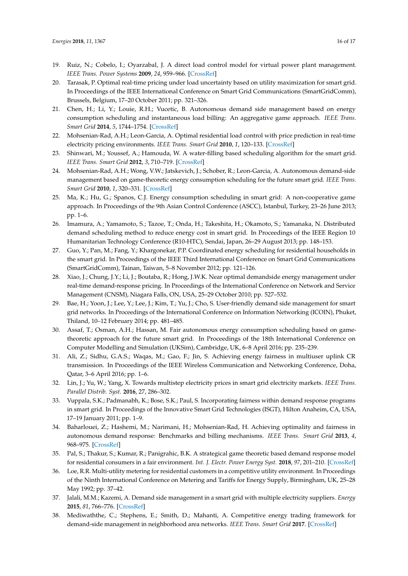- 19. Ruiz, N.; Cobelo, I.; Oyarzabal, J. A direct load control model for virtual power plant management. *IEEE Trans. Power Systems* **2009**, *24*, 959–966. [CrossRef]
- 20. Tarasak, P. Optimal real-time pricing under load uncertainty based on utility maximization for smart grid. In Proceedings of the IEEE International Conference on Smart Grid Communications (SmartGridComm), Brussels, Belgium, 17–20 October 2011; pp. 321–326.
- 21. Chen, H.; Li, Y.; Louie, R.H.; Vucetic, B. Autonomous demand side management based on energy consumption scheduling and instantaneous load billing: An aggregative game approach. *IEEE Trans. Smart Grid* **2014**, *5*, 1744–1754. [CrossRef]
- 22. Mohsenian-Rad, A.H.; Leon-Garcia, A. Optimal residential load control with price prediction in real-time electricity pricing environments. *IEEE Trans. Smart Grid* **2010**, *1*, 120–133. [CrossRef]
- 23. Shinwari, M.; Youssef, A.; Hamouda, W. A water-filling based scheduling algorithm for the smart grid. *IEEE Trans. Smart Grid* **2012**, *3*, 710–719. [CrossRef]
- 24. Mohsenian-Rad, A.H.; Wong, V.W.; Jatskevich, J.; Schober, R.; Leon-Garcia, A. Autonomous demand-side management based on game-theoretic energy consumption scheduling for the future smart grid. *IEEE Trans. Smart Grid* **2010**, *1*, 320–331. [CrossRef]
- 25. Ma, K.; Hu, G.; Spanos, C.J. Energy consumption scheduling in smart grid: A non-cooperative game approach. In Proceedings of the 9th Asian Control Conference (ASCC), Istanbul, Turkey, 23–26 June 2013; pp. 1–6.
- 26. Imamura, A.; Yamamoto, S.; Tazoe, T.; Onda, H.; Takeshita, H.; Okamoto, S.; Yamanaka, N. Distributed demand scheduling method to reduce energy cost in smart grid. In Proceedings of the IEEE Region 10 Humanitarian Technology Conference (R10-HTC), Sendai, Japan, 26–29 August 2013; pp. 148–153.
- 27. Guo, Y.; Pan, M.; Fang, Y.; Khargonekar, P.P. Coordinated energy scheduling for residential households in the smart grid. In Proceedings of the IEEE Third International Conference on Smart Grid Communications (SmartGridComm), Tainan, Taiwan, 5–8 November 2012; pp. 121–126.
- 28. Xiao, J.; Chung, J.Y.; Li, J.; Boutaba, R.; Hong, J.W.K. Near optimal demandside energy management under real-time demand-response pricing. In Proceedings of the International Conference on Network and Service Management (CNSM), Niagara Falls, ON, USA, 25–29 October 2010; pp. 527–532.
- 29. Bae, H.; Yoon, J.; Lee, Y.; Lee, J.; Kim, T.; Yu, J.; Cho, S. User-friendly demand side management for smart grid networks. In Proceedings of the International Conference on Information Networking (ICOIN), Phuket, Thiland, 10–12 February 2014; pp. 481–485.
- 30. Assaf, T.; Osman, A.H.; Hassan, M. Fair autonomous energy consumption scheduling based on gametheoretic approach for the future smart grid. In Proceedings of the 18th International Conference on Computer Modelling and Simulation (UKSim), Cambridge, UK, 6–8 April 2016; pp. 235–239.
- 31. Ali, Z.; Sidhu, G.A.S.; Waqas, M.; Gao, F.; Jin, S. Achieving energy fairness in multiuser uplink CR transmission. In Proceedings of the IEEE Wireless Communication and Networking Conference, Doha, Qatar, 3–6 April 2016; pp. 1–6.
- 32. Lin, J.; Yu, W.; Yang, X. Towards multistep electricity prices in smart grid electricity markets. *IEEE Trans. Parallel Distrib. Syst.* **2016**, 27, 286–302.
- 33. Vuppala, S.K.; Padmanabh, K.; Bose, S.K.; Paul, S. Incorporating fairness within demand response programs in smart grid. In Proceedings of the Innovative Smart Grid Technologies (ISGT), Hilton Anaheim, CA, USA, 17–19 January 2011; pp. 1–9.
- 34. Baharlouei, Z.; Hashemi, M.; Narimani, H.; Mohsenian-Rad, H. Achieving optimality and fairness in autonomous demand response: Benchmarks and billing mechanisms. *IEEE Trans. Smart Grid* **2013**, *4*, 968–975. [CrossRef]
- 35. Pal, S.; Thakur, S.; Kumar, R.; Panigrahic, B.K. A strategical game theoretic based demand response model for residential consumers in a fair environment. *Int. J. Electr. Power Energy Syst.* **2018**, *97*, 201–210. [CrossRef]
- 36. Loe, R.R. Multi-utility metering for residential customers in a competitive utility environment. In Proceedings of the Ninth International Conference on Metering and Tariffs for Energy Supply, Birmingham, UK, 25–28 May 1992; pp. 37–42.
- 37. Jalali, M.M.; Kazemi, A. Demand side management in a smart grid with multiple electricity suppliers. *Energy* **2015**, *81*, 766–776. [CrossRef]
- 38. Mediwaththe, C.; Stephens, E.; Smith, D.; Mahanti, A. Competitive energy trading framework for demand-side management in neighborhood area networks. *IEEE Trans. Smart Grid* **2017**. [CrossRef]